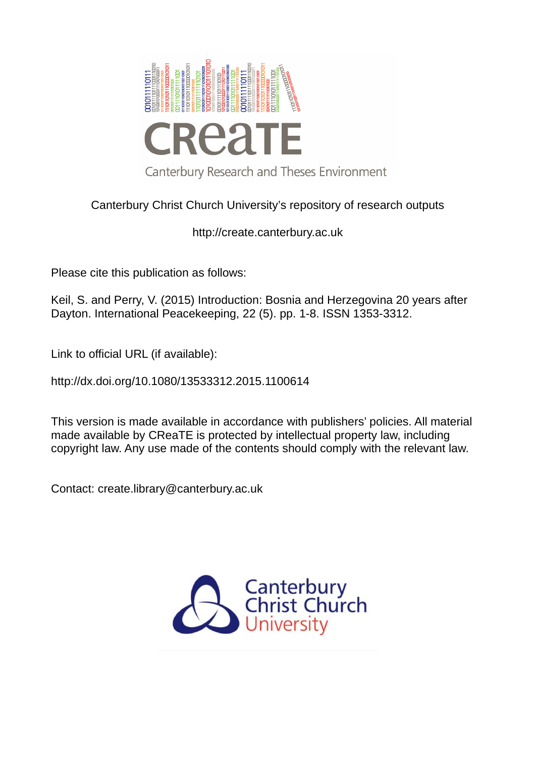

Canterbury Research and Theses Environment

# Canterbury Christ Church University's repository of research outputs

http://create.canterbury.ac.uk

Please cite this publication as follows:

Keil, S. and Perry, V. (2015) Introduction: Bosnia and Herzegovina 20 years after Dayton. International Peacekeeping, 22 (5). pp. 1-8. ISSN 1353-3312.

Link to official URL (if available):

http://dx.doi.org/10.1080/13533312.2015.1100614

This version is made available in accordance with publishers' policies. All material made available by CReaTE is protected by intellectual property law, including copyright law. Any use made of the contents should comply with the relevant law.

Contact: create.library@canterbury.ac.uk

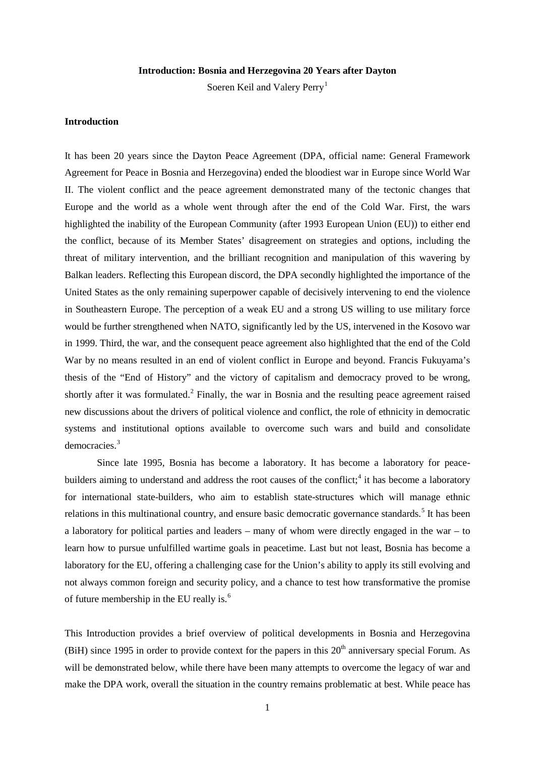### **Introduction: Bosnia and Herzegovina 20 Years after Dayton**

Soeren Keil and Valery Perry<sup>[1](#page-7-0)</sup>

## **Introduction**

It has been 20 years since the Dayton Peace Agreement (DPA, official name: General Framework Agreement for Peace in Bosnia and Herzegovina) ended the bloodiest war in Europe since World War II. The violent conflict and the peace agreement demonstrated many of the tectonic changes that Europe and the world as a whole went through after the end of the Cold War. First, the wars highlighted the inability of the European Community (after 1993 European Union (EU)) to either end the conflict, because of its Member States' disagreement on strategies and options, including the threat of military intervention, and the brilliant recognition and manipulation of this wavering by Balkan leaders. Reflecting this European discord, the DPA secondly highlighted the importance of the United States as the only remaining superpower capable of decisively intervening to end the violence in Southeastern Europe. The perception of a weak EU and a strong US willing to use military force would be further strengthened when NATO, significantly led by the US, intervened in the Kosovo war in 1999. Third, the war, and the consequent peace agreement also highlighted that the end of the Cold War by no means resulted in an end of violent conflict in Europe and beyond. Francis Fukuyama's thesis of the "End of History" and the victory of capitalism and democracy proved to be wrong, shortly after it was formulated.<sup>[2](#page-7-1)</sup> Finally, the war in Bosnia and the resulting peace agreement raised new discussions about the drivers of political violence and conflict, the role of ethnicity in democratic systems and institutional options available to overcome such wars and build and consolidate democracies. [3](#page-7-2)

Since late 1995, Bosnia has become a laboratory. It has become a laboratory for peace-builders aiming to understand and address the root causes of the conflict;<sup>[4](#page-7-3)</sup> it has become a laboratory for international state-builders, who aim to establish state-structures which will manage ethnic relations in this multinational country, and ensure basic democratic governance standards.<sup>[5](#page-7-4)</sup> It has been a laboratory for political parties and leaders – many of whom were directly engaged in the war – to learn how to pursue unfulfilled wartime goals in peacetime. Last but not least, Bosnia has become a laboratory for the EU, offering a challenging case for the Union's ability to apply its still evolving and not always common foreign and security policy, and a chance to test how transformative the promise of future membership in the EU really is. $<sup>6</sup>$  $<sup>6</sup>$  $<sup>6</sup>$ </sup>

This Introduction provides a brief overview of political developments in Bosnia and Herzegovina (BiH) since 1995 in order to provide context for the papers in this  $20<sup>th</sup>$  anniversary special Forum. As will be demonstrated below, while there have been many attempts to overcome the legacy of war and make the DPA work, overall the situation in the country remains problematic at best. While peace has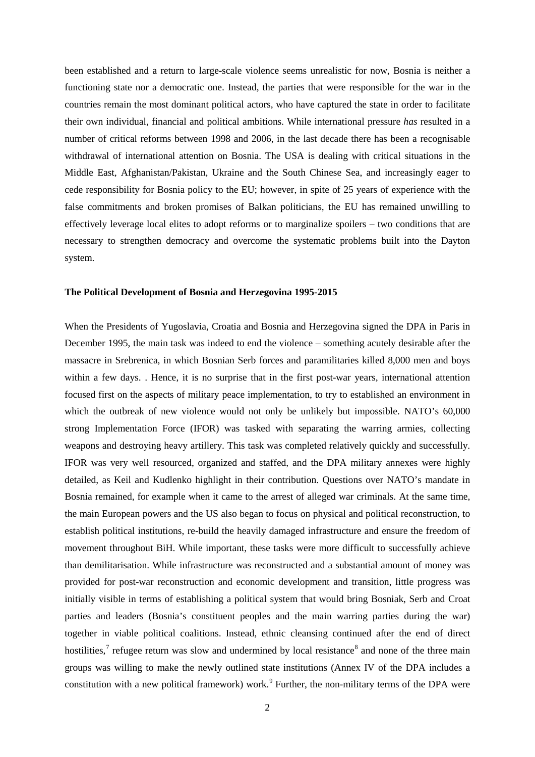been established and a return to large-scale violence seems unrealistic for now, Bosnia is neither a functioning state nor a democratic one. Instead, the parties that were responsible for the war in the countries remain the most dominant political actors, who have captured the state in order to facilitate their own individual, financial and political ambitions. While international pressure *has* resulted in a number of critical reforms between 1998 and 2006, in the last decade there has been a recognisable withdrawal of international attention on Bosnia. The USA is dealing with critical situations in the Middle East, Afghanistan/Pakistan, Ukraine and the South Chinese Sea, and increasingly eager to cede responsibility for Bosnia policy to the EU; however, in spite of 25 years of experience with the false commitments and broken promises of Balkan politicians, the EU has remained unwilling to effectively leverage local elites to adopt reforms or to marginalize spoilers – two conditions that are necessary to strengthen democracy and overcome the systematic problems built into the Dayton system.

### **The Political Development of Bosnia and Herzegovina 1995-2015**

When the Presidents of Yugoslavia, Croatia and Bosnia and Herzegovina signed the DPA in Paris in December 1995, the main task was indeed to end the violence – something acutely desirable after the massacre in Srebrenica, in which Bosnian Serb forces and paramilitaries killed 8,000 men and boys within a few days. . Hence, it is no surprise that in the first post-war years, international attention focused first on the aspects of military peace implementation, to try to established an environment in which the outbreak of new violence would not only be unlikely but impossible. NATO's 60,000 strong Implementation Force (IFOR) was tasked with separating the warring armies, collecting weapons and destroying heavy artillery. This task was completed relatively quickly and successfully. IFOR was very well resourced, organized and staffed, and the DPA military annexes were highly detailed, as Keil and Kudlenko highlight in their contribution. Questions over NATO's mandate in Bosnia remained, for example when it came to the arrest of alleged war criminals. At the same time, the main European powers and the US also began to focus on physical and political reconstruction, to establish political institutions, re-build the heavily damaged infrastructure and ensure the freedom of movement throughout BiH. While important, these tasks were more difficult to successfully achieve than demilitarisation. While infrastructure was reconstructed and a substantial amount of money was provided for post-war reconstruction and economic development and transition, little progress was initially visible in terms of establishing a political system that would bring Bosniak, Serb and Croat parties and leaders (Bosnia's constituent peoples and the main warring parties during the war) together in viable political coalitions. Instead, ethnic cleansing continued after the end of direct hostilities,<sup>[7](#page-7-6)</sup> refugee return was slow and undermined by local resistance<sup>[8](#page-7-7)</sup> and none of the three main groups was willing to make the newly outlined state institutions (Annex IV of the DPA includes a constitution with a new political framework) work.<sup>[9](#page-7-8)</sup> Further, the non-military terms of the DPA were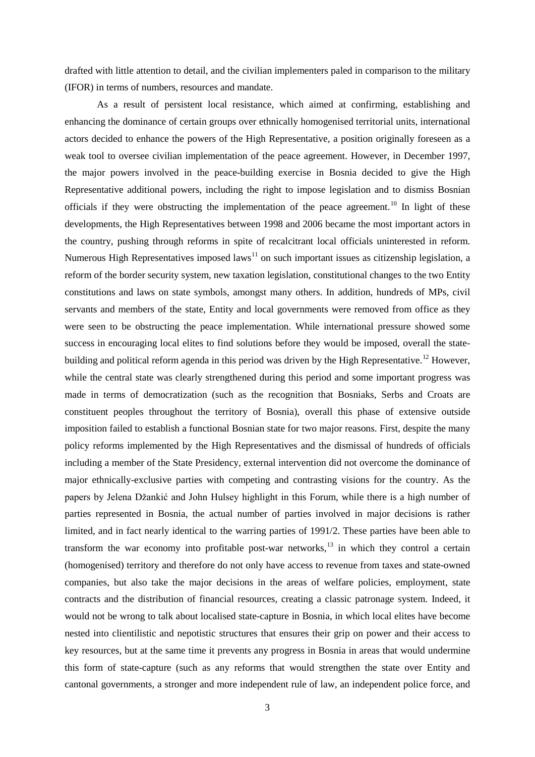drafted with little attention to detail, and the civilian implementers paled in comparison to the military (IFOR) in terms of numbers, resources and mandate.

As a result of persistent local resistance, which aimed at confirming, establishing and enhancing the dominance of certain groups over ethnically homogenised territorial units, international actors decided to enhance the powers of the High Representative, a position originally foreseen as a weak tool to oversee civilian implementation of the peace agreement. However, in December 1997, the major powers involved in the peace-building exercise in Bosnia decided to give the High Representative additional powers, including the right to impose legislation and to dismiss Bosnian officials if they were obstructing the implementation of the peace agreement.<sup>[10](#page-7-9)</sup> In light of these developments, the High Representatives between 1998 and 2006 became the most important actors in the country, pushing through reforms in spite of recalcitrant local officials uninterested in reform. Numerous High Representatives imposed laws<sup>[11](#page-7-10)</sup> on such important issues as citizenship legislation, a reform of the border security system, new taxation legislation, constitutional changes to the two Entity constitutions and laws on state symbols, amongst many others. In addition, hundreds of MPs, civil servants and members of the state, Entity and local governments were removed from office as they were seen to be obstructing the peace implementation. While international pressure showed some success in encouraging local elites to find solutions before they would be imposed, overall the state-building and political reform agenda in this period was driven by the High Representative.<sup>[12](#page-7-11)</sup> However, while the central state was clearly strengthened during this period and some important progress was made in terms of democratization (such as the recognition that Bosniaks, Serbs and Croats are constituent peoples throughout the territory of Bosnia), overall this phase of extensive outside imposition failed to establish a functional Bosnian state for two major reasons. First, despite the many policy reforms implemented by the High Representatives and the dismissal of hundreds of officials including a member of the State Presidency, external intervention did not overcome the dominance of major ethnically-exclusive parties with competing and contrasting visions for the country. As the papers by Jelena Džankić and John Hulsey highlight in this Forum, while there is a high number of parties represented in Bosnia, the actual number of parties involved in major decisions is rather limited, and in fact nearly identical to the warring parties of 1991/2. These parties have been able to transform the war economy into profitable post-war networks, $^{13}$  $^{13}$  $^{13}$  in which they control a certain (homogenised) territory and therefore do not only have access to revenue from taxes and state-owned companies, but also take the major decisions in the areas of welfare policies, employment, state contracts and the distribution of financial resources, creating a classic patronage system. Indeed, it would not be wrong to talk about localised state-capture in Bosnia, in which local elites have become nested into clientilistic and nepotistic structures that ensures their grip on power and their access to key resources, but at the same time it prevents any progress in Bosnia in areas that would undermine this form of state-capture (such as any reforms that would strengthen the state over Entity and cantonal governments, a stronger and more independent rule of law, an independent police force, and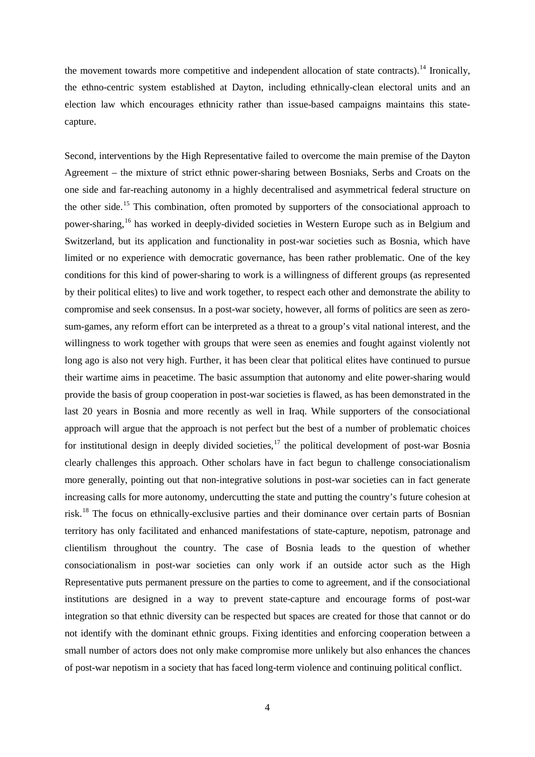the movement towards more competitive and independent allocation of state contracts).<sup>[14](#page-7-13)</sup> Ironically, the ethno-centric system established at Dayton, including ethnically-clean electoral units and an election law which encourages ethnicity rather than issue-based campaigns maintains this statecapture.

Second, interventions by the High Representative failed to overcome the main premise of the Dayton Agreement – the mixture of strict ethnic power-sharing between Bosniaks, Serbs and Croats on the one side and far-reaching autonomy in a highly decentralised and asymmetrical federal structure on the other side.<sup>[15](#page-7-14)</sup> This combination, often promoted by supporters of the consociational approach to power-sharing,[16](#page-7-15) has worked in deeply-divided societies in Western Europe such as in Belgium and Switzerland, but its application and functionality in post-war societies such as Bosnia, which have limited or no experience with democratic governance, has been rather problematic. One of the key conditions for this kind of power-sharing to work is a willingness of different groups (as represented by their political elites) to live and work together, to respect each other and demonstrate the ability to compromise and seek consensus. In a post-war society, however, all forms of politics are seen as zerosum-games, any reform effort can be interpreted as a threat to a group's vital national interest, and the willingness to work together with groups that were seen as enemies and fought against violently not long ago is also not very high. Further, it has been clear that political elites have continued to pursue their wartime aims in peacetime. The basic assumption that autonomy and elite power-sharing would provide the basis of group cooperation in post-war societies is flawed, as has been demonstrated in the last 20 years in Bosnia and more recently as well in Iraq. While supporters of the consociational approach will argue that the approach is not perfect but the best of a number of problematic choices for institutional design in deeply divided societies,<sup>[17](#page-7-16)</sup> the political development of post-war Bosnia clearly challenges this approach. Other scholars have in fact begun to challenge consociationalism more generally, pointing out that non-integrative solutions in post-war societies can in fact generate increasing calls for more autonomy, undercutting the state and putting the country's future cohesion at risk.[18](#page-7-17) The focus on ethnically-exclusive parties and their dominance over certain parts of Bosnian territory has only facilitated and enhanced manifestations of state-capture, nepotism, patronage and clientilism throughout the country. The case of Bosnia leads to the question of whether consociationalism in post-war societies can only work if an outside actor such as the High Representative puts permanent pressure on the parties to come to agreement, and if the consociational institutions are designed in a way to prevent state-capture and encourage forms of post-war integration so that ethnic diversity can be respected but spaces are created for those that cannot or do not identify with the dominant ethnic groups. Fixing identities and enforcing cooperation between a small number of actors does not only make compromise more unlikely but also enhances the chances of post-war nepotism in a society that has faced long-term violence and continuing political conflict.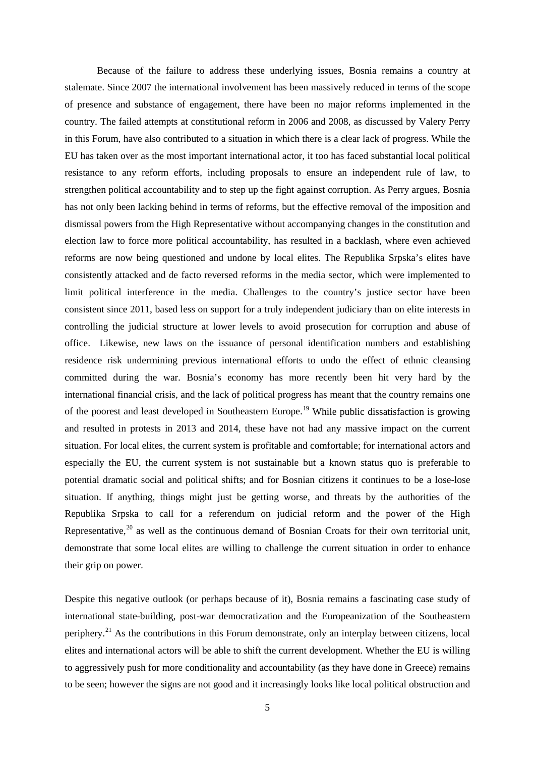Because of the failure to address these underlying issues, Bosnia remains a country at stalemate. Since 2007 the international involvement has been massively reduced in terms of the scope of presence and substance of engagement, there have been no major reforms implemented in the country. The failed attempts at constitutional reform in 2006 and 2008, as discussed by Valery Perry in this Forum, have also contributed to a situation in which there is a clear lack of progress. While the EU has taken over as the most important international actor, it too has faced substantial local political resistance to any reform efforts, including proposals to ensure an independent rule of law, to strengthen political accountability and to step up the fight against corruption. As Perry argues, Bosnia has not only been lacking behind in terms of reforms, but the effective removal of the imposition and dismissal powers from the High Representative without accompanying changes in the constitution and election law to force more political accountability, has resulted in a backlash, where even achieved reforms are now being questioned and undone by local elites. The Republika Srpska's elites have consistently attacked and de facto reversed reforms in the media sector, which were implemented to limit political interference in the media. Challenges to the country's justice sector have been consistent since 2011, based less on support for a truly independent judiciary than on elite interests in controlling the judicial structure at lower levels to avoid prosecution for corruption and abuse of office. Likewise, new laws on the issuance of personal identification numbers and establishing residence risk undermining previous international efforts to undo the effect of ethnic cleansing committed during the war. Bosnia's economy has more recently been hit very hard by the international financial crisis, and the lack of political progress has meant that the country remains one of the poorest and least developed in Southeastern Europe.[19](#page-7-18) While public dissatisfaction is growing and resulted in protests in 2013 and 2014, these have not had any massive impact on the current situation. For local elites, the current system is profitable and comfortable; for international actors and especially the EU, the current system is not sustainable but a known status quo is preferable to potential dramatic social and political shifts; and for Bosnian citizens it continues to be a lose-lose situation. If anything, things might just be getting worse, and threats by the authorities of the Republika Srpska to call for a referendum on judicial reform and the power of the High Representative, $20$  as well as the continuous demand of Bosnian Croats for their own territorial unit, demonstrate that some local elites are willing to challenge the current situation in order to enhance their grip on power.

Despite this negative outlook (or perhaps because of it), Bosnia remains a fascinating case study of international state-building, post-war democratization and the Europeanization of the Southeastern periphery.[21](#page-7-20) As the contributions in this Forum demonstrate, only an interplay between citizens, local elites and international actors will be able to shift the current development. Whether the EU is willing to aggressively push for more conditionality and accountability (as they have done in Greece) remains to be seen; however the signs are not good and it increasingly looks like local political obstruction and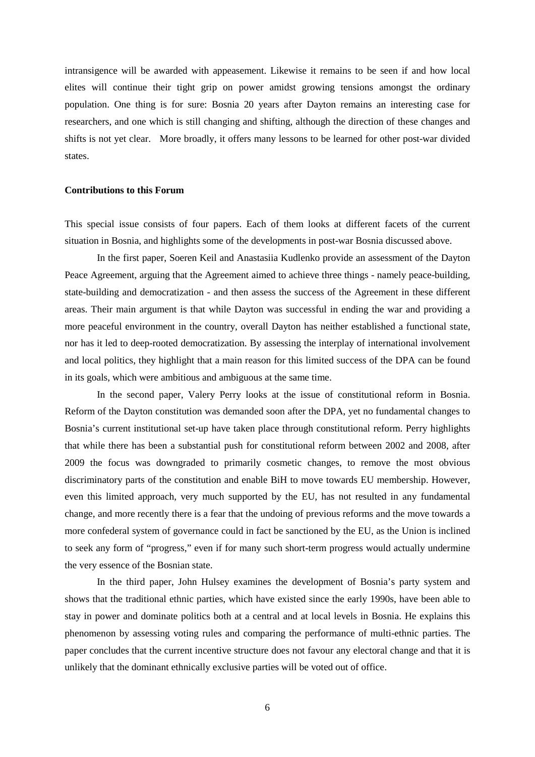intransigence will be awarded with appeasement. Likewise it remains to be seen if and how local elites will continue their tight grip on power amidst growing tensions amongst the ordinary population. One thing is for sure: Bosnia 20 years after Dayton remains an interesting case for researchers, and one which is still changing and shifting, although the direction of these changes and shifts is not yet clear. More broadly, it offers many lessons to be learned for other post-war divided states.

## **Contributions to this Forum**

This special issue consists of four papers. Each of them looks at different facets of the current situation in Bosnia, and highlights some of the developments in post-war Bosnia discussed above.

In the first paper, Soeren Keil and Anastasiia Kudlenko provide an assessment of the Dayton Peace Agreement, arguing that the Agreement aimed to achieve three things - namely peace-building, state-building and democratization - and then assess the success of the Agreement in these different areas. Their main argument is that while Dayton was successful in ending the war and providing a more peaceful environment in the country, overall Dayton has neither established a functional state, nor has it led to deep-rooted democratization. By assessing the interplay of international involvement and local politics, they highlight that a main reason for this limited success of the DPA can be found in its goals, which were ambitious and ambiguous at the same time.

In the second paper, Valery Perry looks at the issue of constitutional reform in Bosnia. Reform of the Dayton constitution was demanded soon after the DPA, yet no fundamental changes to Bosnia's current institutional set-up have taken place through constitutional reform. Perry highlights that while there has been a substantial push for constitutional reform between 2002 and 2008, after 2009 the focus was downgraded to primarily cosmetic changes, to remove the most obvious discriminatory parts of the constitution and enable BiH to move towards EU membership. However, even this limited approach, very much supported by the EU, has not resulted in any fundamental change, and more recently there is a fear that the undoing of previous reforms and the move towards a more confederal system of governance could in fact be sanctioned by the EU, as the Union is inclined to seek any form of "progress," even if for many such short-term progress would actually undermine the very essence of the Bosnian state.

In the third paper, John Hulsey examines the development of Bosnia's party system and shows that the traditional ethnic parties, which have existed since the early 1990s, have been able to stay in power and dominate politics both at a central and at local levels in Bosnia. He explains this phenomenon by assessing voting rules and comparing the performance of multi-ethnic parties. The paper concludes that the current incentive structure does not favour any electoral change and that it is unlikely that the dominant ethnically exclusive parties will be voted out of office.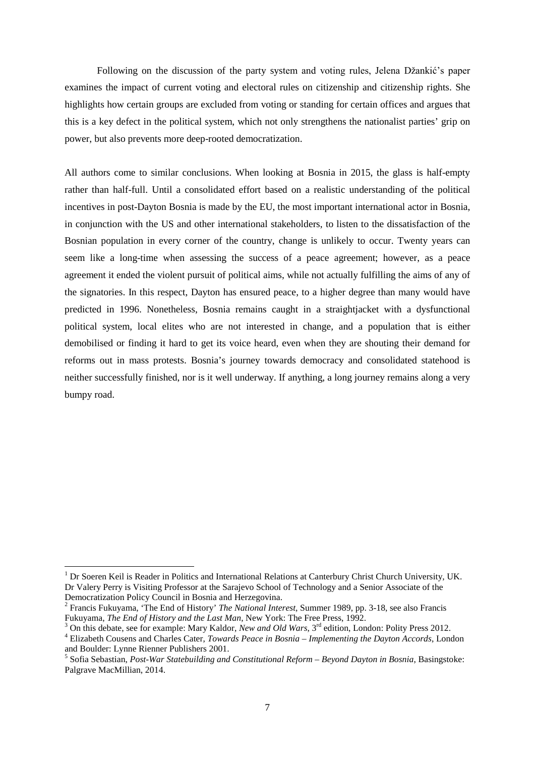<span id="page-7-6"></span><span id="page-7-5"></span>Following on the discussion of the party system and voting rules, Jelena Džankić's paper examines the impact of current voting and electoral rules on citizenship and citizenship rights. She highlights how certain groups are excluded from voting or standing for certain offices and argues that this is a key defect in the political system, which not only strengthens the nationalist parties' grip on power, but also prevents more deep-rooted democratization.

<span id="page-7-19"></span><span id="page-7-18"></span><span id="page-7-17"></span><span id="page-7-16"></span><span id="page-7-15"></span><span id="page-7-14"></span><span id="page-7-13"></span><span id="page-7-12"></span><span id="page-7-11"></span><span id="page-7-10"></span><span id="page-7-9"></span><span id="page-7-8"></span><span id="page-7-7"></span>All authors come to similar conclusions. When looking at Bosnia in 2015, the glass is half-empty rather than half-full. Until a consolidated effort based on a realistic understanding of the political incentives in post-Dayton Bosnia is made by the EU, the most important international actor in Bosnia, in conjunction with the US and other international stakeholders, to listen to the dissatisfaction of the Bosnian population in every corner of the country, change is unlikely to occur. Twenty years can seem like a long-time when assessing the success of a peace agreement; however, as a peace agreement it ended the violent pursuit of political aims, while not actually fulfilling the aims of any of the signatories. In this respect, Dayton has ensured peace, to a higher degree than many would have predicted in 1996. Nonetheless, Bosnia remains caught in a straightjacket with a dysfunctional political system, local elites who are not interested in change, and a population that is either demobilised or finding it hard to get its voice heard, even when they are shouting their demand for reforms out in mass protests. Bosnia's journey towards democracy and consolidated statehood is neither successfully finished, nor is it well underway. If anything, a long journey remains along a very bumpy road.

<span id="page-7-20"></span> $\overline{a}$ 

<span id="page-7-0"></span><sup>1</sup> Dr Soeren Keil is Reader in Politics and International Relations at Canterbury Christ Church University, UK. Dr Valery Perry is Visiting Professor at the Sarajevo School of Technology and a Senior Associate of the Democratization Policy Council in Bosnia and Herzegovina.

<span id="page-7-1"></span><sup>2</sup> Francis Fukuyama, 'The End of History' *The National Interest*, Summer 1989, pp. 3-18, see also Francis Fukuyama, *The End of History and the Last Man*, New York: The Free Press, 1992.

<sup>&</sup>lt;sup>3</sup> On this debate, see for example: Mary Kaldor, *New and Old Wars*, 3<sup>rd</sup> edition, London: Polity Press 2012.

<span id="page-7-3"></span><span id="page-7-2"></span><sup>4</sup> Elizabeth Cousens and Charles Cater, *Towards Peace in Bosnia – Implementing the Dayton Accords*, London and Boulder: Lynne Rienner Publishers 2001.

<span id="page-7-4"></span><sup>5</sup> Sofia Sebastian, *Post-War Statebuilding and Constitutional Reform – Beyond Dayton in Bosnia*, Basingstoke: Palgrave MacMillian, 2014.